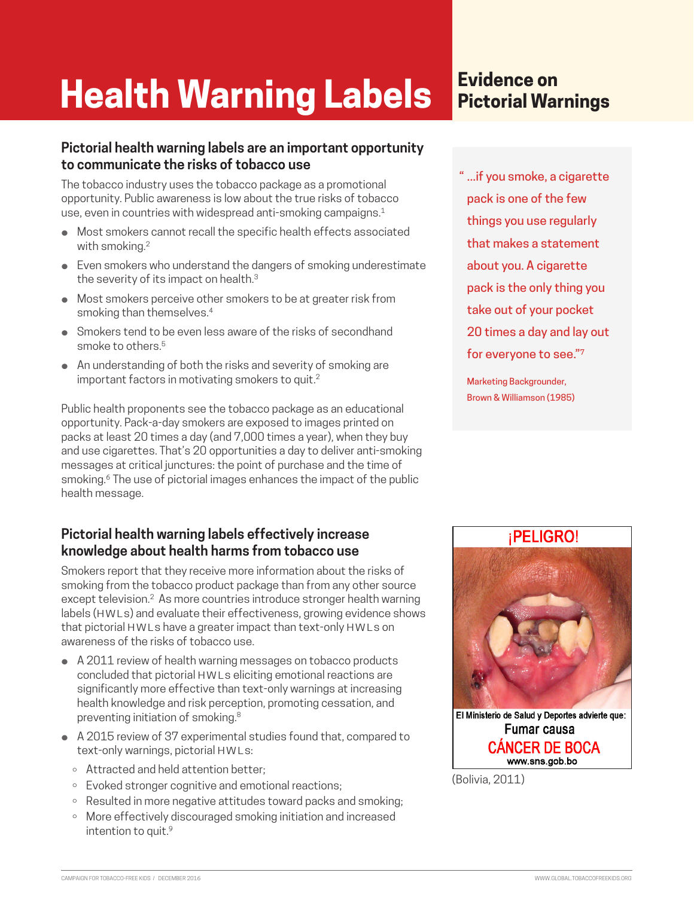# **Health Warning Labels**

#### **Pictorial health warning labels are an important opportunity to communicate the risks of tobacco use**

The tobacco industry uses the tobacco package as a promotional opportunity. Public awareness is low about the true risks of tobacco use, even in countries with widespread anti-smoking campaigns.<sup>1</sup>

- ⚫ Most smokers cannot recall the specific health effects associated with smoking.2
- Even smokers who understand the dangers of smoking underestimate the severity of its impact on health.<sup>3</sup>
- ⚫ Most smokers perceive other smokers to be at greater risk from smoking than themselves.<sup>4</sup>
- Smokers tend to be even less aware of the risks of secondhand smoke to others.<sup>5</sup>
- An understanding of both the risks and severity of smoking are important factors in motivating smokers to quit.<sup>2</sup>

Public health proponents see the tobacco package as an educational opportunity. Pack-a-day smokers are exposed to images printed on packs at least 20 times a day (and 7,000 times a year), when they buy and use cigarettes. That's 20 opportunities a day to deliver anti-smoking messages at critical junctures: the point of purchase and the time of smoking.<sup>6</sup> The use of pictorial images enhances the impact of the public health message.

#### **Pictorial health warning labels effectively increase knowledge about health harms from tobacco use**

Smokers report that they receive more information about the risks of smoking from the tobacco product package than from any other source except television.2 As more countries introduce stronger health warning labels (HWLs) and evaluate their effectiveness, growing evidence shows that pictorial HWLs have a greater impact than text-only HWLs on awareness of the risks of tobacco use.

- A 2011 review of health warning messages on tobacco products concluded that pictorial HWLs eliciting emotional reactions are significantly more effective than text-only warnings at increasing health knowledge and risk perception, promoting cessation, and preventing initiation of smoking.8
- A 2015 review of 37 experimental studies found that, compared to text-only warnings, pictorial HWLs:
	- ⚪ Attracted and held attention better;
	- ⚪ Evoked stronger cognitive and emotional reactions;
	- Resulted in more negative attitudes toward packs and smoking;
	- ⚪ More effectively discouraged smoking initiation and increased intention to quit.<sup>9</sup>

# **Evidence on Pictorial Warnings**

" ...if you smoke, a cigarette pack is one of the few things you use regularly that makes a statement about you. A cigarette pack is the only thing you take out of your pocket 20 times a day and lay out for everyone to see."7

Marketing Backgrounder, Brown & Williamson (1985)

#### **iPELIGRO!**



Fumar causa **CÁNCER DE BOCA** www.sns.gob.bo

(Bolivia, 2011)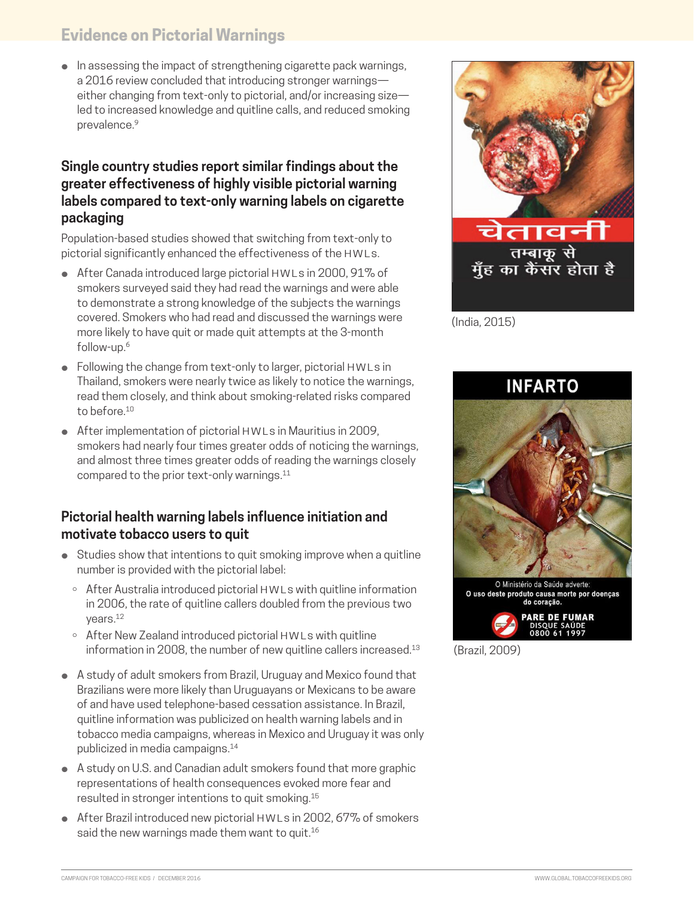## **Evidence on Pictorial Warnings**

● In assessing the impact of strengthening cigarette pack warnings, a 2016 review concluded that introducing stronger warnings either changing from text-only to pictorial, and/or increasing size led to increased knowledge and quitline calls, and reduced smoking prevalence.<sup>9</sup>

#### **Single country studies report similar findings about the greater effectiveness of highly visible pictorial warning labels compared to text-only warning labels on cigarette packaging**

Population-based studies showed that switching from text-only to pictorial significantly enhanced the effectiveness of the HWLs.

- After Canada introduced large pictorial HWLs in 2000, 91% of smokers surveyed said they had read the warnings and were able to demonstrate a strong knowledge of the subjects the warnings covered. Smokers who had read and discussed the warnings were more likely to have quit or made quit attempts at the 3-month follow-up.6
- Following the change from text-only to larger, pictorial HWLs in Thailand, smokers were nearly twice as likely to notice the warnings, read them closely, and think about smoking-related risks compared to before.10
- After implementation of pictorial HWLs in Mauritius in 2009, smokers had nearly four times greater odds of noticing the warnings, and almost three times greater odds of reading the warnings closely compared to the prior text-only warnings.11

#### **Pictorial health warning labels influence initiation and motivate tobacco users to quit**

- Studies show that intentions to quit smoking improve when a quitline number is provided with the pictorial label:
	- After Australia introduced pictorial HWLs with quitline information in 2006, the rate of quitline callers doubled from the previous two years.12
	- After New Zealand introduced pictorial HWLs with quitline information in 2008, the number of new quitline callers increased.<sup>13</sup>
- A study of adult smokers from Brazil, Uruguay and Mexico found that Brazilians were more likely than Uruguayans or Mexicans to be aware of and have used telephone-based cessation assistance. In Brazil, quitline information was publicized on health warning labels and in tobacco media campaigns, whereas in Mexico and Uruguay it was only publicized in media campaigns.14
- A study on U.S. and Canadian adult smokers found that more graphic representations of health consequences evoked more fear and resulted in stronger intentions to quit smoking.15
- After Brazil introduced new pictorial HWLs in 2002, 67% of smokers said the new warnings made them want to quit.<sup>16</sup>



(India, 2015)



(Brazil, 2009)